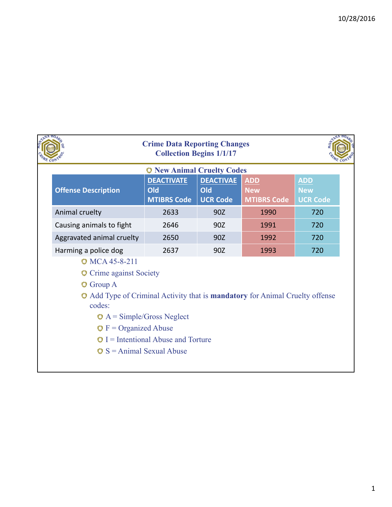| <b>C</b> New Animal Cruelty Codes                                                                                                                                                                                                                                             |                                                |                                            |                                                |                                             |
|-------------------------------------------------------------------------------------------------------------------------------------------------------------------------------------------------------------------------------------------------------------------------------|------------------------------------------------|--------------------------------------------|------------------------------------------------|---------------------------------------------|
| <b>Offense Description</b>                                                                                                                                                                                                                                                    | <b>DEACTIVATE</b><br>Old<br><b>MTIBRS Code</b> | <b>DEACTIVAE</b><br>Old<br><b>UCR Code</b> | <b>ADD</b><br><b>New</b><br><b>MTIBRS Code</b> | <b>ADD</b><br><b>New</b><br><b>UCR Code</b> |
| Animal cruelty                                                                                                                                                                                                                                                                | 2633                                           | 90Z                                        | 1990                                           | 720                                         |
| Causing animals to fight                                                                                                                                                                                                                                                      | 2646                                           | 90Z                                        | 1991                                           | 720                                         |
| Aggravated animal cruelty                                                                                                                                                                                                                                                     | 2650                                           | 90Z                                        | 1992                                           | 720                                         |
| Harming a police dog                                                                                                                                                                                                                                                          | 2637                                           | 90Z                                        | 1993                                           | 720                                         |
| <b>MCA 45-8-211</b><br>Crime against Society<br>$\mathbb{Q}$ Group A<br>Add Type of Criminal Activity that is <b>mandatory</b> for Animal Cruelty offense<br>codes:<br>$\bullet$ A = Simple/Gross Neglect<br>$\bullet$ F = Organized Abuse<br>$\circ$ S = Animal Sexual Abuse | $\bullet$ I = Intentional Abuse and Torture    |                                            |                                                |                                             |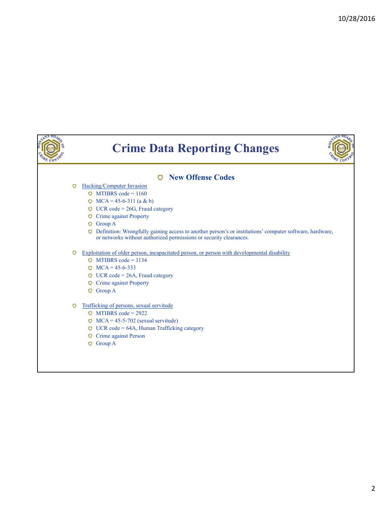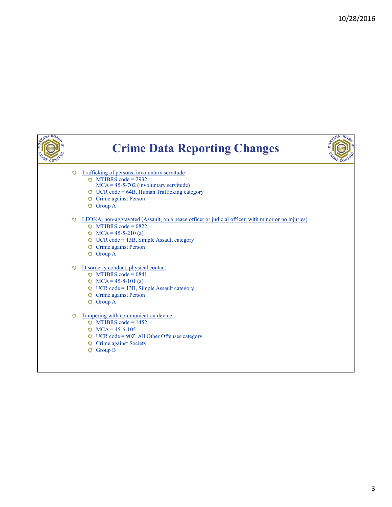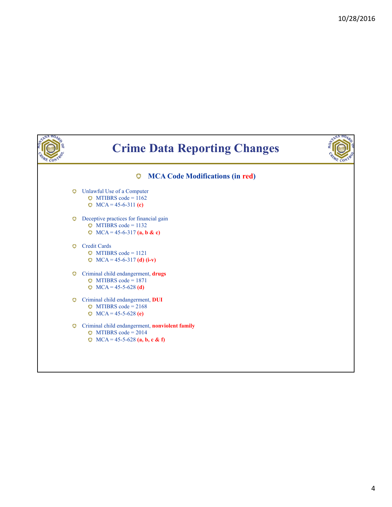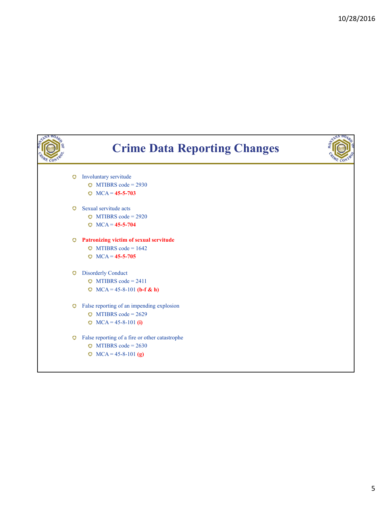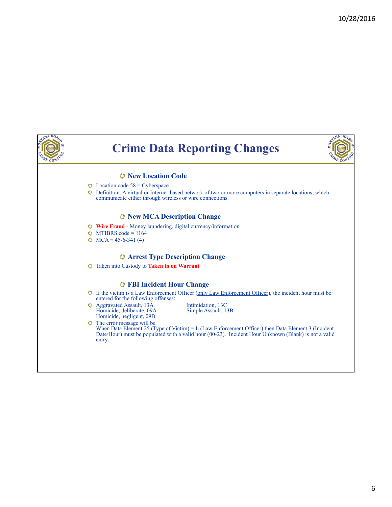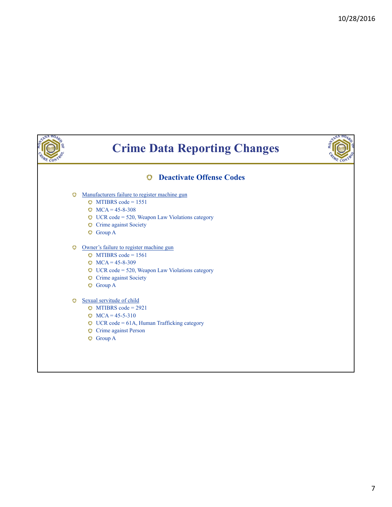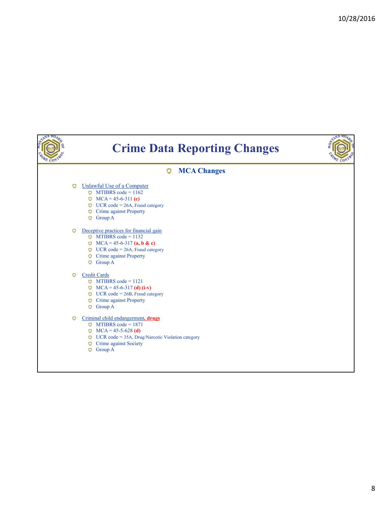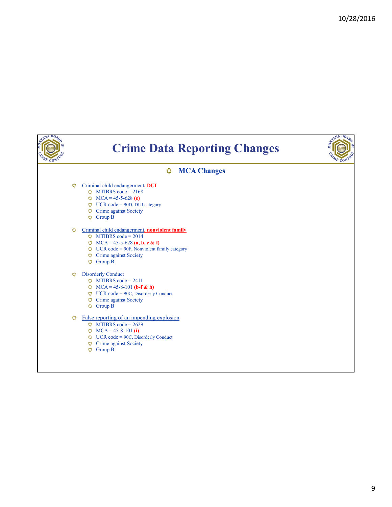